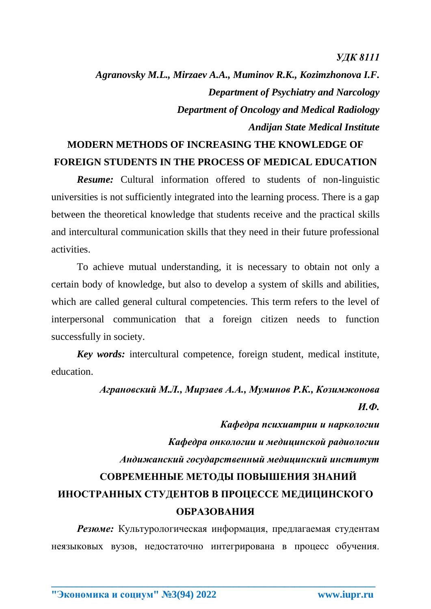*УДК 8111*

*Agranovsky M.L., Mirzaev A.A., Muminov R.K., Kozimzhonova I.F. Department of Psychiatry and Narcology Department of Oncology and Medical Radiology Andijan State Medical Institute*

## **MODERN METHODS OF INCREASING THE KNOWLEDGE OF FOREIGN STUDENTS IN THE PROCESS OF MEDICAL EDUCATION**

*Resume:* Cultural information offered to students of non-linguistic universities is not sufficiently integrated into the learning process. There is a gap between the theoretical knowledge that students receive and the practical skills and intercultural communication skills that they need in their future professional activities.

To achieve mutual understanding, it is necessary to obtain not only a certain body of knowledge, but also to develop a system of skills and abilities, which are called general cultural competencies. This term refers to the level of interpersonal communication that a foreign citizen needs to function successfully in society.

*Key words:* intercultural competence, foreign student, medical institute, education.

## *Аграновский М.Л., Мирзаев А.А., Муминов Р.К., Козимжонова И.Ф. Кафедра психиатрии и наркологии Кафедра онкологии и медицинской радиологии*

*Андижанский государственный медицинский институт* **СОВРЕМЕННЫЕ МЕТОДЫ ПОВЫШЕНИЯ ЗНАНИЙ ИНОСТРАННЫХ СТУДЕНТОВ В ПРОЦЕССЕ МЕДИЦИНСКОГО ОБРАЗОВАНИЯ**

*Резюме:* Культурологическая информация, предлагаемая студентам неязыковых вузов, недостаточно интегрирована в процесс обучения.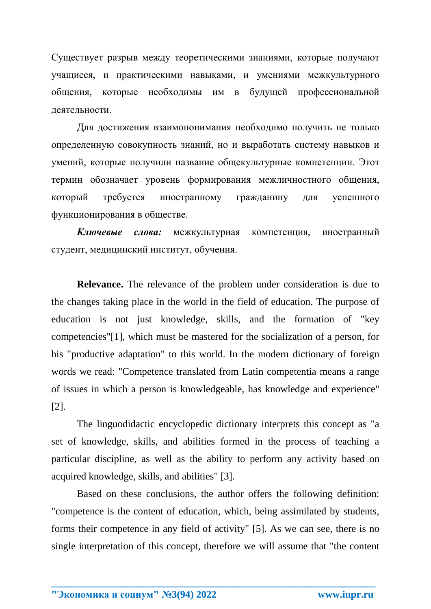Существует разрыв между теоретическими знаниями, которые получают учащиеся, и практическими навыками, и умениями межкультурного общения, которые необходимы им в будущей профессиональной деятельности.

Для достижения взаимопонимания необходимо получить не только определенную совокупность знаний, но и выработать систему навыков и умений, которые получили название общекультурные компетенции. Этот термин обозначает уровень формирования межличностного общения, который требуется иностранному гражданину для успешного функционирования в обществе.

*Ключевые слова:* межкультурная компетенция, иностранный студент, медицинский институт, обучения.

**Relevance.** The relevance of the problem under consideration is due to the changes taking place in the world in the field of education. The purpose of education is not just knowledge, skills, and the formation of "key competencies"[1], which must be mastered for the socialization of a person, for his "productive adaptation" to this world. In the modern dictionary of foreign words we read: "Competence translated from Latin competentia means a range of issues in which a person is knowledgeable, has knowledge and experience" [2].

The linguodidactic encyclopedic dictionary interprets this concept as "a set of knowledge, skills, and abilities formed in the process of teaching a particular discipline, as well as the ability to perform any activity based on acquired knowledge, skills, and abilities" [3].

Based on these conclusions, the author offers the following definition: "competence is the content of education, which, being assimilated by students, forms their competence in any field of activity" [5]. As we can see, there is no single interpretation of this concept, therefore we will assume that "the content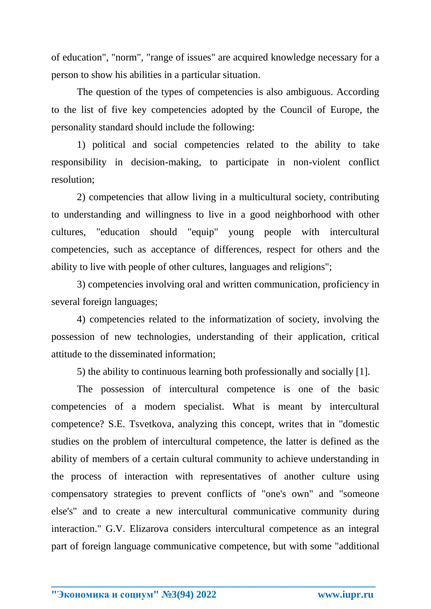of education", "norm", "range of issues" are acquired knowledge necessary for a person to show his abilities in a particular situation.

The question of the types of competencies is also ambiguous. According to the list of five key competencies adopted by the Council of Europe, the personality standard should include the following:

1) political and social competencies related to the ability to take responsibility in decision-making, to participate in non-violent conflict resolution;

2) competencies that allow living in a multicultural society, contributing to understanding and willingness to live in a good neighborhood with other cultures, "education should "equip" young people with intercultural competencies, such as acceptance of differences, respect for others and the ability to live with people of other cultures, languages and religions";

3) competencies involving oral and written communication, proficiency in several foreign languages;

4) competencies related to the informatization of society, involving the possession of new technologies, understanding of their application, critical attitude to the disseminated information;

5) the ability to continuous learning both professionally and socially [1].

The possession of intercultural competence is one of the basic competencies of a modern specialist. What is meant by intercultural competence? S.E. Tsvetkova, analyzing this concept, writes that in "domestic studies on the problem of intercultural competence, the latter is defined as the ability of members of a certain cultural community to achieve understanding in the process of interaction with representatives of another culture using compensatory strategies to prevent conflicts of "one's own" and "someone else's" and to create a new intercultural communicative community during interaction." G.V. Elizarova considers intercultural competence as an integral part of foreign language communicative competence, but with some "additional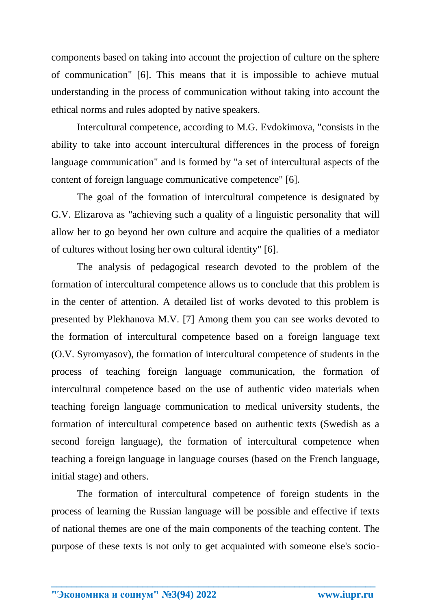components based on taking into account the projection of culture on the sphere of communication" [6]. This means that it is impossible to achieve mutual understanding in the process of communication without taking into account the ethical norms and rules adopted by native speakers.

Intercultural competence, according to M.G. Evdokimova, "consists in the ability to take into account intercultural differences in the process of foreign language communication" and is formed by "a set of intercultural aspects of the content of foreign language communicative competence" [6].

The goal of the formation of intercultural competence is designated by G.V. Elizarova as "achieving such a quality of a linguistic personality that will allow her to go beyond her own culture and acquire the qualities of a mediator of cultures without losing her own cultural identity" [6].

The analysis of pedagogical research devoted to the problem of the formation of intercultural competence allows us to conclude that this problem is in the center of attention. A detailed list of works devoted to this problem is presented by Plekhanova M.V. [7] Among them you can see works devoted to the formation of intercultural competence based on a foreign language text (O.V. Syromyasov), the formation of intercultural competence of students in the process of teaching foreign language communication, the formation of intercultural competence based on the use of authentic video materials when teaching foreign language communication to medical university students, the formation of intercultural competence based on authentic texts (Swedish as a second foreign language), the formation of intercultural competence when teaching a foreign language in language courses (based on the French language, initial stage) and others.

The formation of intercultural competence of foreign students in the process of learning the Russian language will be possible and effective if texts of national themes are one of the main components of the teaching content. The purpose of these texts is not only to get acquainted with someone else's socio-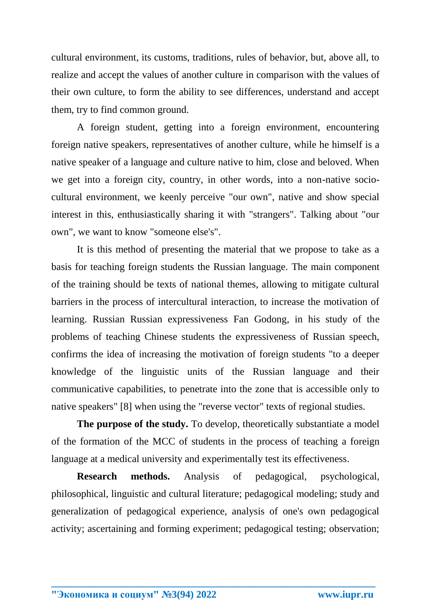cultural environment, its customs, traditions, rules of behavior, but, above all, to realize and accept the values of another culture in comparison with the values of their own culture, to form the ability to see differences, understand and accept them, try to find common ground.

A foreign student, getting into a foreign environment, encountering foreign native speakers, representatives of another culture, while he himself is a native speaker of a language and culture native to him, close and beloved. When we get into a foreign city, country, in other words, into a non-native sociocultural environment, we keenly perceive "our own", native and show special interest in this, enthusiastically sharing it with "strangers". Talking about "our own", we want to know "someone else's".

It is this method of presenting the material that we propose to take as a basis for teaching foreign students the Russian language. The main component of the training should be texts of national themes, allowing to mitigate cultural barriers in the process of intercultural interaction, to increase the motivation of learning. Russian Russian expressiveness Fan Godong, in his study of the problems of teaching Chinese students the expressiveness of Russian speech, confirms the idea of increasing the motivation of foreign students "to a deeper knowledge of the linguistic units of the Russian language and their communicative capabilities, to penetrate into the zone that is accessible only to native speakers" [8] when using the "reverse vector" texts of regional studies.

**The purpose of the study.** To develop, theoretically substantiate a model of the formation of the MCC of students in the process of teaching a foreign language at a medical university and experimentally test its effectiveness.

**Research methods.** Analysis of pedagogical, psychological, philosophical, linguistic and cultural literature; pedagogical modeling; study and generalization of pedagogical experience, analysis of one's own pedagogical activity; ascertaining and forming experiment; pedagogical testing; observation;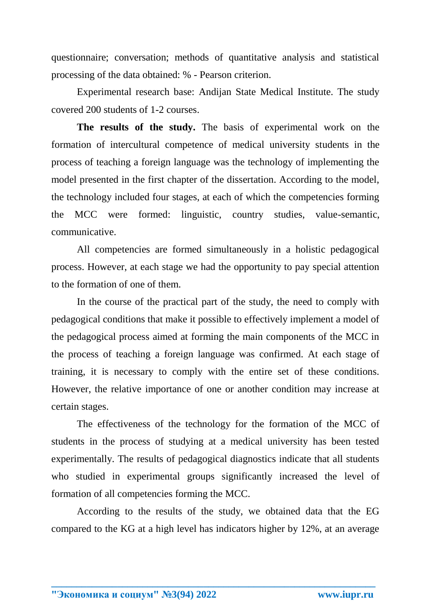questionnaire; conversation; methods of quantitative analysis and statistical processing of the data obtained: % - Pearson criterion.

Experimental research base: Andijan State Medical Institute. The study covered 200 students of 1-2 courses.

**The results of the study.** The basis of experimental work on the formation of intercultural competence of medical university students in the process of teaching a foreign language was the technology of implementing the model presented in the first chapter of the dissertation. According to the model, the technology included four stages, at each of which the competencies forming the MCC were formed: linguistic, country studies, value-semantic, communicative.

All competencies are formed simultaneously in a holistic pedagogical process. However, at each stage we had the opportunity to pay special attention to the formation of one of them.

In the course of the practical part of the study, the need to comply with pedagogical conditions that make it possible to effectively implement a model of the pedagogical process aimed at forming the main components of the MCC in the process of teaching a foreign language was confirmed. At each stage of training, it is necessary to comply with the entire set of these conditions. However, the relative importance of one or another condition may increase at certain stages.

The effectiveness of the technology for the formation of the MCC of students in the process of studying at a medical university has been tested experimentally. The results of pedagogical diagnostics indicate that all students who studied in experimental groups significantly increased the level of formation of all competencies forming the MCC.

According to the results of the study, we obtained data that the EG compared to the KG at a high level has indicators higher by 12%, at an average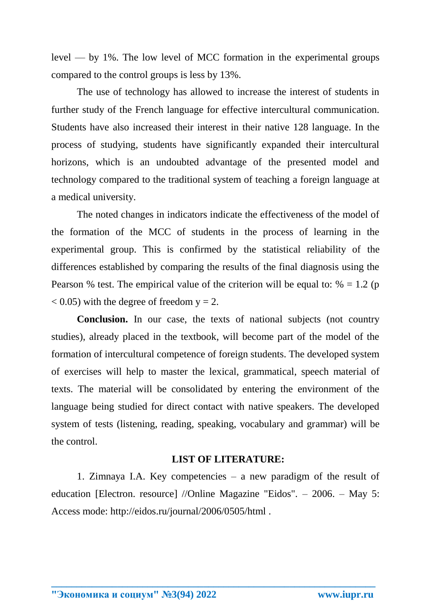level — by 1%. The low level of MCC formation in the experimental groups compared to the control groups is less by 13%.

The use of technology has allowed to increase the interest of students in further study of the French language for effective intercultural communication. Students have also increased their interest in their native 128 language. In the process of studying, students have significantly expanded their intercultural horizons, which is an undoubted advantage of the presented model and technology compared to the traditional system of teaching a foreign language at a medical university.

The noted changes in indicators indicate the effectiveness of the model of the formation of the MCC of students in the process of learning in the experimental group. This is confirmed by the statistical reliability of the differences established by comparing the results of the final diagnosis using the Pearson % test. The empirical value of the criterion will be equal to:  $% = 1.2$  (p)  $(0.05)$  with the degree of freedom  $y = 2$ .

**Conclusion.** In our case, the texts of national subjects (not country studies), already placed in the textbook, will become part of the model of the formation of intercultural competence of foreign students. The developed system of exercises will help to master the lexical, grammatical, speech material of texts. The material will be consolidated by entering the environment of the language being studied for direct contact with native speakers. The developed system of tests (listening, reading, speaking, vocabulary and grammar) will be the control.

## **LIST OF LITERATURE:**

1. Zimnaya I.A. Key competencies – a new paradigm of the result of education [Electron. resource] //Online Magazine "Eidos". – 2006. – May 5: Access mode: http://eidos.ru/journal/2006/0505/html .